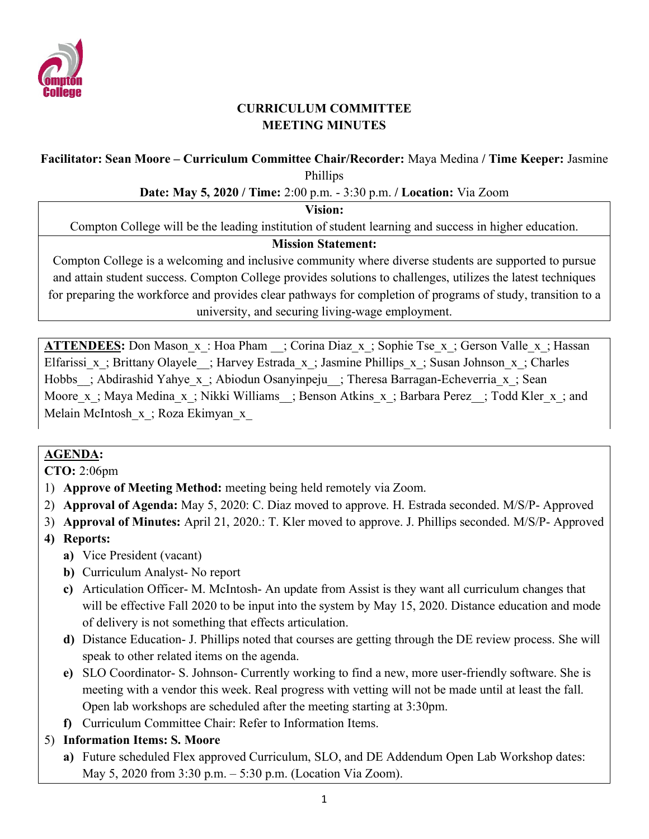

## **CURRICULUM COMMITTEE MEETING MINUTES**

## **Facilitator: Sean Moore – Curriculum Committee Chair/Recorder:** Maya Medina **/ Time Keeper:** Jasmine Phillips

#### **Date: May 5, 2020 / Time:** 2:00 p.m. - 3:30 p.m. **/ Location:** Via Zoom

#### **Vision:**

Compton College will be the leading institution of student learning and success in higher education.

#### **Mission Statement:**

Compton College is a welcoming and inclusive community where diverse students are supported to pursue and attain student success. Compton College provides solutions to challenges, utilizes the latest techniques for preparing the workforce and provides clear pathways for completion of programs of study, transition to a university, and securing living-wage employment.

**ATTENDEES:** Don Mason x: Hoa Pham ; Corina Diaz x; Sophie Tse x; Gerson Valle x; Hassan Elfarissi x; Brittany Olayele ; Harvey Estrada x; Jasmine Phillips x; Susan Johnson x; Charles Hobbs ; Abdirashid Yahye x; Abiodun Osanyinpeju ; Theresa Barragan-Echeverria x; Sean Moore x; Maya Medina x; Nikki Williams ; Benson Atkins x; Barbara Perez ; Todd Kler x; and Melain McIntosh x; Roza Ekimyan x

## **AGENDA:**

**CTO:** 2:06pm

- 1) **Approve of Meeting Method:** meeting being held remotely via Zoom.
- 2) **Approval of Agenda:** May 5, 2020: C. Diaz moved to approve. H. Estrada seconded. M/S/P- Approved
- 3) **Approval of Minutes:** April 21, 2020.: T. Kler moved to approve. J. Phillips seconded. M/S/P- Approved

## **4) Reports:**

- **a)** Vice President (vacant)
- **b)** Curriculum Analyst- No report
- **c)** Articulation Officer- M. McIntosh- An update from Assist is they want all curriculum changes that will be effective Fall 2020 to be input into the system by May 15, 2020. Distance education and mode of delivery is not something that effects articulation.
- **d)** Distance Education- J. Phillips noted that courses are getting through the DE review process. She will speak to other related items on the agenda.
- **e)** SLO Coordinator- S. Johnson- Currently working to find a new, more user-friendly software. She is meeting with a vendor this week. Real progress with vetting will not be made until at least the fall. Open lab workshops are scheduled after the meeting starting at 3:30pm.
- **f)** Curriculum Committee Chair: Refer to Information Items.

## 5) **Information Items: S. Moore**

**a)** Future scheduled Flex approved Curriculum, SLO, and DE Addendum Open Lab Workshop dates: May 5, 2020 from 3:30 p.m. – 5:30 p.m. (Location Via Zoom).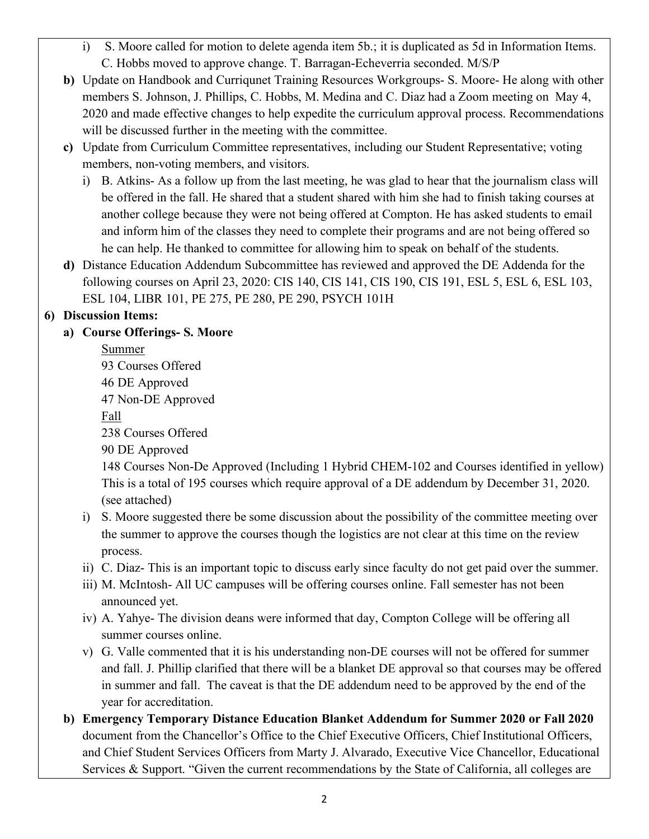- i) S. Moore called for motion to delete agenda item 5b.; it is duplicated as 5d in Information Items. C. Hobbs moved to approve change. T. Barragan-Echeverria seconded. M/S/P
- **b)** Update on Handbook and Curriqunet Training Resources Workgroups- S. Moore- He along with other members S. Johnson, J. Phillips, C. Hobbs, M. Medina and C. Diaz had a Zoom meeting on May 4, 2020 and made effective changes to help expedite the curriculum approval process. Recommendations will be discussed further in the meeting with the committee.
- **c)** Update from Curriculum Committee representatives, including our Student Representative; voting members, non-voting members, and visitors.
	- i) B. Atkins- As a follow up from the last meeting, he was glad to hear that the journalism class will be offered in the fall. He shared that a student shared with him she had to finish taking courses at another college because they were not being offered at Compton. He has asked students to email and inform him of the classes they need to complete their programs and are not being offered so he can help. He thanked to committee for allowing him to speak on behalf of the students.
- **d)** Distance Education Addendum Subcommittee has reviewed and approved the DE Addenda for the following courses on April 23, 2020: CIS 140, CIS 141, CIS 190, CIS 191, ESL 5, ESL 6, ESL 103, ESL 104, LIBR 101, PE 275, PE 280, PE 290, PSYCH 101H

## **6) Discussion Items:**

# **a) Course Offerings- S. Moore**

Summer 93 Courses Offered 46 DE Approved 47 Non-DE Approved Fall 238 Courses Offered 90 DE Approved

148 Courses Non-De Approved (Including 1 Hybrid CHEM-102 and Courses identified in yellow) This is a total of 195 courses which require approval of a DE addendum by December 31, 2020. (see attached)

- i) S. Moore suggested there be some discussion about the possibility of the committee meeting over the summer to approve the courses though the logistics are not clear at this time on the review process.
- ii) C. Diaz- This is an important topic to discuss early since faculty do not get paid over the summer.
- iii) M. McIntosh- All UC campuses will be offering courses online. Fall semester has not been announced yet.
- iv) A. Yahye- The division deans were informed that day, Compton College will be offering all summer courses online.
- v) G. Valle commented that it is his understanding non-DE courses will not be offered for summer and fall. J. Phillip clarified that there will be a blanket DE approval so that courses may be offered in summer and fall. The caveat is that the DE addendum need to be approved by the end of the year for accreditation.
- **b) Emergency Temporary Distance Education Blanket Addendum for Summer 2020 or Fall 2020** document from the Chancellor's Office to the Chief Executive Officers, Chief Institutional Officers, and Chief Student Services Officers from Marty J. Alvarado, Executive Vice Chancellor, Educational Services & Support. "Given the current recommendations by the State of California, all colleges are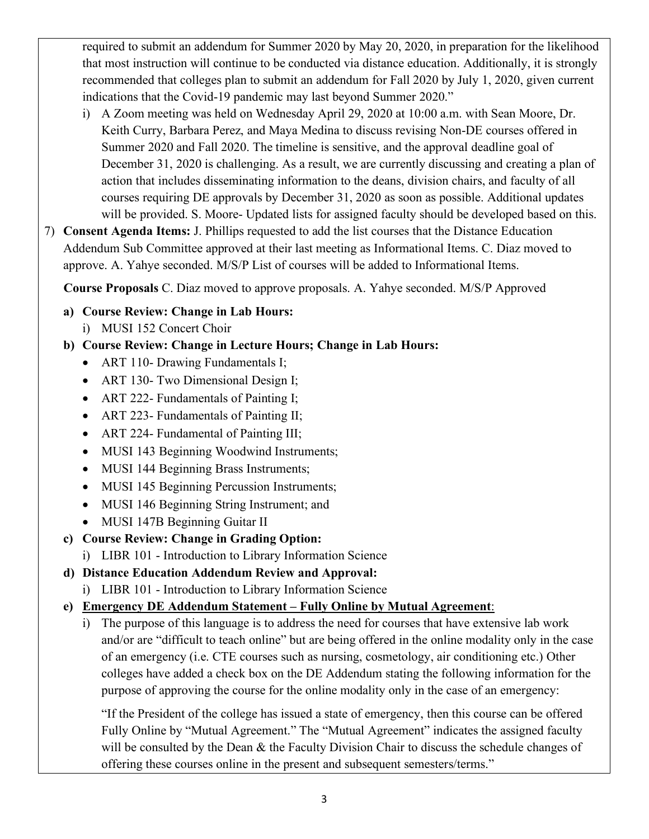required to submit an addendum for Summer 2020 by May 20, 2020, in preparation for the likelihood that most instruction will continue to be conducted via distance education. Additionally, it is strongly recommended that colleges plan to submit an addendum for Fall 2020 by July 1, 2020, given current indications that the Covid-19 pandemic may last beyond Summer 2020."

- i) A Zoom meeting was held on Wednesday April 29, 2020 at 10:00 a.m. with Sean Moore, Dr. Keith Curry, Barbara Perez, and Maya Medina to discuss revising Non-DE courses offered in Summer 2020 and Fall 2020. The timeline is sensitive, and the approval deadline goal of December 31, 2020 is challenging. As a result, we are currently discussing and creating a plan of action that includes disseminating information to the deans, division chairs, and faculty of all courses requiring DE approvals by December 31, 2020 as soon as possible. Additional updates will be provided. S. Moore- Updated lists for assigned faculty should be developed based on this.
- 7) **Consent Agenda Items:** J. Phillips requested to add the list courses that the Distance Education Addendum Sub Committee approved at their last meeting as Informational Items. C. Diaz moved to approve. A. Yahye seconded. M/S/P List of courses will be added to Informational Items.

 **Course Proposals** C. Diaz moved to approve proposals. A. Yahye seconded. M/S/P Approved

- **a) Course Review: Change in Lab Hours:** 
	- i) MUSI 152 Concert Choir

# **b) Course Review: Change in Lecture Hours; Change in Lab Hours:**

- ART 110- Drawing Fundamentals I;
- ART 130- Two Dimensional Design I;
- ART 222- Fundamentals of Painting I;
- ART 223- Fundamentals of Painting II;
- ART 224- Fundamental of Painting III;
- MUSI 143 Beginning Woodwind Instruments;
- MUSI 144 Beginning Brass Instruments;
- MUSI 145 Beginning Percussion Instruments;
- MUSI 146 Beginning String Instrument; and
- MUSI 147B Beginning Guitar II
- **c) Course Review: Change in Grading Option:**
- i) LIBR 101 Introduction to Library Information Science
- **d) Distance Education Addendum Review and Approval:**
	- i) LIBR 101 Introduction to Library Information Science
- **e) Emergency DE Addendum Statement – Fully Online by Mutual Agreement**:
	- i) The purpose of this language is to address the need for courses that have extensive lab work and/or are "difficult to teach online" but are being offered in the online modality only in the case of an emergency (i.e. CTE courses such as nursing, cosmetology, air conditioning etc.) Other colleges have added a check box on the DE Addendum stating the following information for the purpose of approving the course for the online modality only in the case of an emergency:

"If the President of the college has issued a state of emergency, then this course can be offered Fully Online by "Mutual Agreement." The "Mutual Agreement" indicates the assigned faculty will be consulted by the Dean & the Faculty Division Chair to discuss the schedule changes of offering these courses online in the present and subsequent semesters/terms."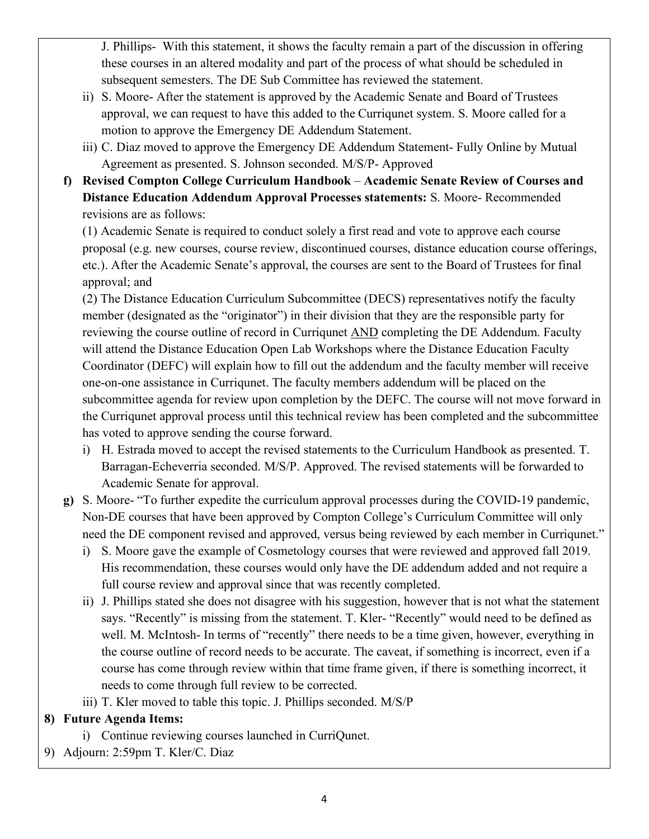J. Phillips- With this statement, it shows the faculty remain a part of the discussion in offering these courses in an altered modality and part of the process of what should be scheduled in subsequent semesters. The DE Sub Committee has reviewed the statement.

- ii) S. Moore- After the statement is approved by the Academic Senate and Board of Trustees approval, we can request to have this added to the Curriqunet system. S. Moore called for a motion to approve the Emergency DE Addendum Statement.
- iii) C. Diaz moved to approve the Emergency DE Addendum Statement- Fully Online by Mutual Agreement as presented. S. Johnson seconded. M/S/P- Approved
- **f) Revised Compton College Curriculum Handbook Academic Senate Review of Courses and Distance Education Addendum Approval Processes statements:** S. Moore- Recommended revisions are as follows:

(1) Academic Senate is required to conduct solely a first read and vote to approve each course proposal (e.g. new courses, course review, discontinued courses, distance education course offerings, etc.). After the Academic Senate's approval, the courses are sent to the Board of Trustees for final approval; and

(2) The Distance Education Curriculum Subcommittee (DECS) representatives notify the faculty member (designated as the "originator") in their division that they are the responsible party for reviewing the course outline of record in Curriqunet AND completing the DE Addendum. Faculty will attend the Distance Education Open Lab Workshops where the Distance Education Faculty Coordinator (DEFC) will explain how to fill out the addendum and the faculty member will receive one-on-one assistance in Curriqunet. The faculty members addendum will be placed on the subcommittee agenda for review upon completion by the DEFC. The course will not move forward in the Curriqunet approval process until this technical review has been completed and the subcommittee has voted to approve sending the course forward.

- i) H. Estrada moved to accept the revised statements to the Curriculum Handbook as presented. T. Barragan-Echeverria seconded. M/S/P. Approved. The revised statements will be forwarded to Academic Senate for approval.
- **g)** S. Moore- "To further expedite the curriculum approval processes during the COVID-19 pandemic, Non-DE courses that have been approved by Compton College's Curriculum Committee will only need the DE component revised and approved, versus being reviewed by each member in Curriqunet."
	- i) S. Moore gave the example of Cosmetology courses that were reviewed and approved fall 2019. His recommendation, these courses would only have the DE addendum added and not require a full course review and approval since that was recently completed.
	- ii) J. Phillips stated she does not disagree with his suggestion, however that is not what the statement says. "Recently" is missing from the statement. T. Kler- "Recently" would need to be defined as well. M. McIntosh- In terms of "recently" there needs to be a time given, however, everything in the course outline of record needs to be accurate. The caveat, if something is incorrect, even if a course has come through review within that time frame given, if there is something incorrect, it needs to come through full review to be corrected.
	- iii) T. Kler moved to table this topic. J. Phillips seconded. M/S/P

## **8) Future Agenda Items:**

- i) Continue reviewing courses launched in CurriQunet.
- 9) Adjourn: 2:59pm T. Kler/C. Diaz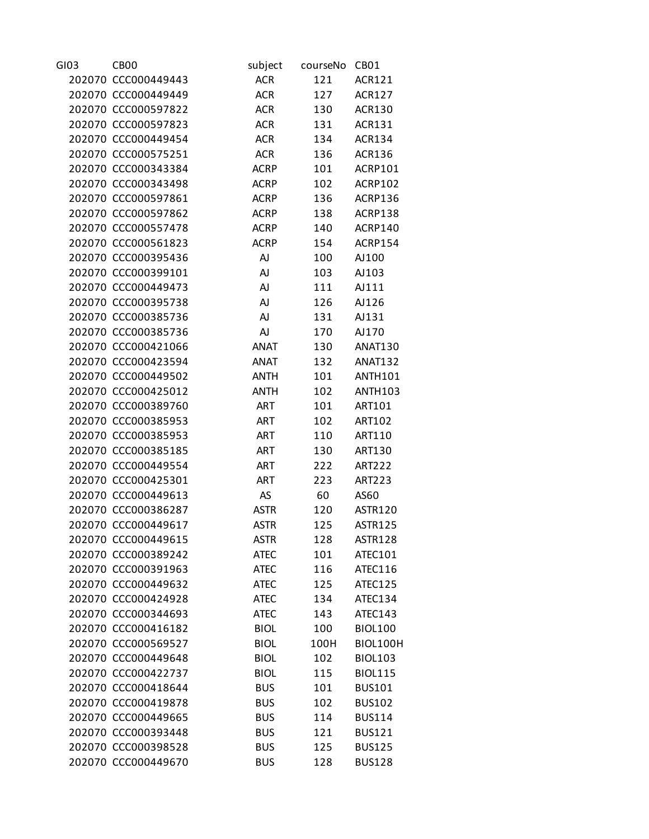| GI03 | CB <sub>00</sub>    | subject     | courseNo | CB <sub>01</sub> |
|------|---------------------|-------------|----------|------------------|
|      | 202070 CCC000449443 | <b>ACR</b>  | 121      | <b>ACR121</b>    |
|      | 202070 CCC000449449 | <b>ACR</b>  | 127      | <b>ACR127</b>    |
|      | 202070 CCC000597822 | <b>ACR</b>  | 130      | <b>ACR130</b>    |
|      | 202070 CCC000597823 | <b>ACR</b>  | 131      | <b>ACR131</b>    |
|      | 202070 CCC000449454 | <b>ACR</b>  | 134      | <b>ACR134</b>    |
|      | 202070 CCC000575251 | <b>ACR</b>  | 136      | <b>ACR136</b>    |
|      | 202070 CCC000343384 | <b>ACRP</b> | 101      | ACRP101          |
|      | 202070 CCC000343498 | <b>ACRP</b> | 102      | ACRP102          |
|      | 202070 CCC000597861 | <b>ACRP</b> | 136      | ACRP136          |
|      | 202070 CCC000597862 | <b>ACRP</b> | 138      | ACRP138          |
|      | 202070 CCC000557478 | <b>ACRP</b> | 140      | ACRP140          |
|      | 202070 CCC000561823 | <b>ACRP</b> | 154      | ACRP154          |
|      | 202070 CCC000395436 | AJ          | 100      | AJ100            |
|      | 202070 CCC000399101 | AJ          | 103      | AJ103            |
|      | 202070 CCC000449473 | AJ          | 111      | AJ111            |
|      | 202070 CCC000395738 | AJ          | 126      | AJ126            |
|      | 202070 CCC000385736 | AJ          | 131      | AJ131            |
|      | 202070 CCC000385736 | AJ          | 170      | AJ170            |
|      | 202070 CCC000421066 | <b>ANAT</b> | 130      | <b>ANAT130</b>   |
|      | 202070 CCC000423594 | <b>ANAT</b> | 132      | <b>ANAT132</b>   |
|      | 202070 CCC000449502 | <b>ANTH</b> | 101      | <b>ANTH101</b>   |
|      | 202070 CCC000425012 | <b>ANTH</b> | 102      | <b>ANTH103</b>   |
|      | 202070 CCC000389760 | <b>ART</b>  |          | ART101           |
|      | 202070 CCC000385953 | <b>ART</b>  | 101      |                  |
|      |                     |             | 102      | <b>ART102</b>    |
|      | 202070 CCC000385953 | <b>ART</b>  | 110      | ART110           |
|      | 202070 CCC000385185 | <b>ART</b>  | 130      | <b>ART130</b>    |
|      | 202070 CCC000449554 | <b>ART</b>  | 222      | <b>ART222</b>    |
|      | 202070 CCC000425301 | <b>ART</b>  | 223      | <b>ART223</b>    |
|      | 202070 CCC000449613 | AS          | 60       | AS60             |
|      | 202070 CCC000386287 | <b>ASTR</b> | 120      | <b>ASTR120</b>   |
|      | 202070 CCC000449617 | <b>ASTR</b> | 125      | <b>ASTR125</b>   |
|      | 202070 CCC000449615 | <b>ASTR</b> | 128      | <b>ASTR128</b>   |
|      | 202070 CCC000389242 | <b>ATEC</b> | 101      | ATEC101          |
|      | 202070 CCC000391963 | <b>ATEC</b> | 116      | ATEC116          |
|      | 202070 CCC000449632 | <b>ATEC</b> | 125      | ATEC125          |
|      | 202070 CCC000424928 | <b>ATEC</b> | 134      | ATEC134          |
|      | 202070 CCC000344693 | <b>ATEC</b> | 143      | ATEC143          |
|      | 202070 CCC000416182 | <b>BIOL</b> | 100      | <b>BIOL100</b>   |
|      | 202070 CCC000569527 | <b>BIOL</b> | 100H     | BIOL100H         |
|      | 202070 CCC000449648 | <b>BIOL</b> | 102      | <b>BIOL103</b>   |
|      | 202070 CCC000422737 | <b>BIOL</b> | 115      | <b>BIOL115</b>   |
|      | 202070 CCC000418644 | <b>BUS</b>  | 101      | <b>BUS101</b>    |
|      | 202070 CCC000419878 | <b>BUS</b>  | 102      | <b>BUS102</b>    |
|      | 202070 CCC000449665 | <b>BUS</b>  | 114      | <b>BUS114</b>    |
|      | 202070 CCC000393448 | <b>BUS</b>  | 121      | <b>BUS121</b>    |
|      | 202070 CCC000398528 | <b>BUS</b>  | 125      | <b>BUS125</b>    |
|      | 202070 CCC000449670 | <b>BUS</b>  | 128      | <b>BUS128</b>    |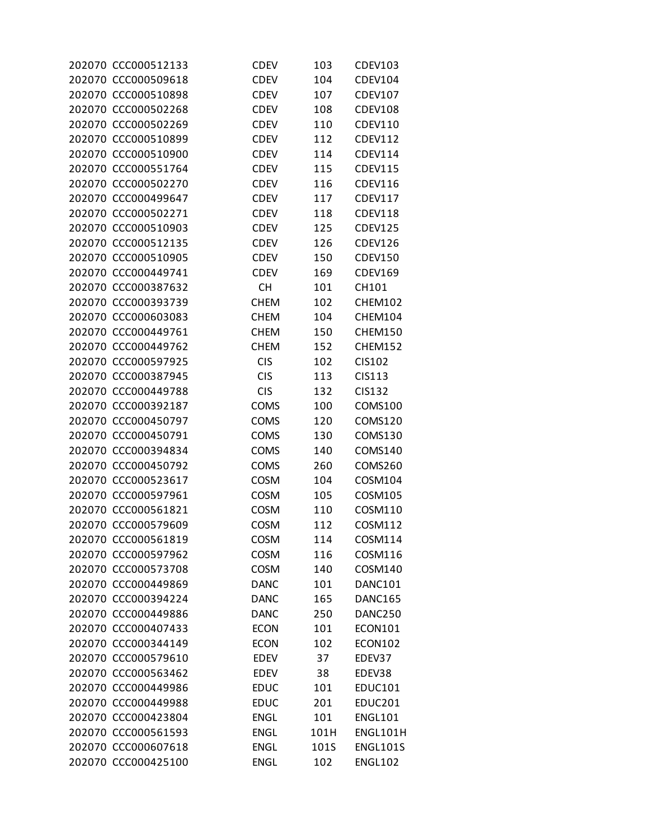| 202070 CCC000512133 | CDEV        | 103        | <b>CDEV103</b>  |
|---------------------|-------------|------------|-----------------|
| 202070 CCC000509618 | CDEV        | 104        | <b>CDEV104</b>  |
| 202070 CCC000510898 | CDEV        | 107        | <b>CDEV107</b>  |
| 202070 CCC000502268 | <b>CDEV</b> | 108        | CDEV108         |
| 202070 CCC000502269 | CDEV        | 110        | <b>CDEV110</b>  |
| 202070 CCC000510899 | <b>CDEV</b> | 112        | <b>CDEV112</b>  |
| 202070 CCC000510900 | CDEV        | 114        | <b>CDEV114</b>  |
| 202070 CCC000551764 | <b>CDEV</b> | 115        | <b>CDEV115</b>  |
| 202070 CCC000502270 | CDEV        | 116        | <b>CDEV116</b>  |
| 202070 CCC000499647 | <b>CDEV</b> | 117        | <b>CDEV117</b>  |
| 202070 CCC000502271 | CDEV        | 118        | <b>CDEV118</b>  |
| 202070 CCC000510903 | CDEV        | 125        | <b>CDEV125</b>  |
| 202070 CCC000512135 | CDEV        | 126        | CDEV126         |
| 202070 CCC000510905 | CDEV        | 150        | <b>CDEV150</b>  |
| 202070 CCC000449741 | <b>CDEV</b> | 169        | <b>CDEV169</b>  |
| 202070 CCC000387632 | <b>CH</b>   | 101        | CH101           |
| 202070 CCC000393739 | <b>CHEM</b> | 102        | <b>CHEM102</b>  |
| 202070 CCC000603083 | <b>CHEM</b> | 104        | CHEM104         |
| 202070 CCC000449761 | <b>CHEM</b> | 150        | <b>CHEM150</b>  |
| 202070 CCC000449762 | <b>CHEM</b> | 152        | CHEM152         |
| 202070 CCC000597925 | <b>CIS</b>  | 102        | CIS102          |
| 202070 CCC000387945 | <b>CIS</b>  | 113        | CIS113          |
| 202070 CCC000449788 | <b>CIS</b>  | 132        | <b>CIS132</b>   |
| 202070 CCC000392187 | <b>COMS</b> | 100        | <b>COMS100</b>  |
| 202070 CCC000450797 | <b>COMS</b> | 120        | <b>COMS120</b>  |
| 202070 CCC000450791 | <b>COMS</b> | 130        | <b>COMS130</b>  |
| 202070 CCC000394834 | <b>COMS</b> | 140        | <b>COMS140</b>  |
| 202070 CCC000450792 | <b>COMS</b> | 260        | COMS260         |
| 202070 CCC000523617 | <b>COSM</b> | 104        | COSM104         |
| 202070 CCC000597961 | COSM        | 105        | COSM105         |
| 202070 CCC000561821 | <b>COSM</b> | 110        | COSM110         |
| 202070 CCC000579609 | <b>COSM</b> | 112        | COSM112         |
| 202070 CCC000561819 | <b>COSM</b> | 114        | COSM114         |
| 202070 CCC000597962 | COSM        | 116        | COSM116         |
| 202070 CCC000573708 | <b>COSM</b> | 140        | COSM140         |
| 202070 CCC000449869 | <b>DANC</b> | 101        | DANC101         |
| 202070 CCC000394224 | <b>DANC</b> | 165        | DANC165         |
| 202070 CCC000449886 | <b>DANC</b> | 250        | DANC250         |
| 202070 CCC000407433 | <b>ECON</b> | 101        | <b>ECON101</b>  |
| 202070 CCC000344149 | <b>ECON</b> | 102        | <b>ECON102</b>  |
| 202070 CCC000579610 | <b>EDEV</b> | 37         | EDEV37          |
| 202070 CCC000563462 | EDEV        | 38         | EDEV38          |
| 202070 CCC000449986 |             |            | <b>EDUC101</b>  |
| 202070 CCC000449988 | <b>EDUC</b> | 101<br>201 | <b>EDUC201</b>  |
|                     | <b>EDUC</b> |            | <b>ENGL101</b>  |
| 202070 CCC000423804 | <b>ENGL</b> | 101        |                 |
| 202070 CCC000561593 | <b>ENGL</b> | 101H       | ENGL101H        |
| 202070 CCC000607618 | <b>ENGL</b> | 101S       | <b>ENGL101S</b> |
| 202070 CCC000425100 | <b>ENGL</b> | 102        | <b>ENGL102</b>  |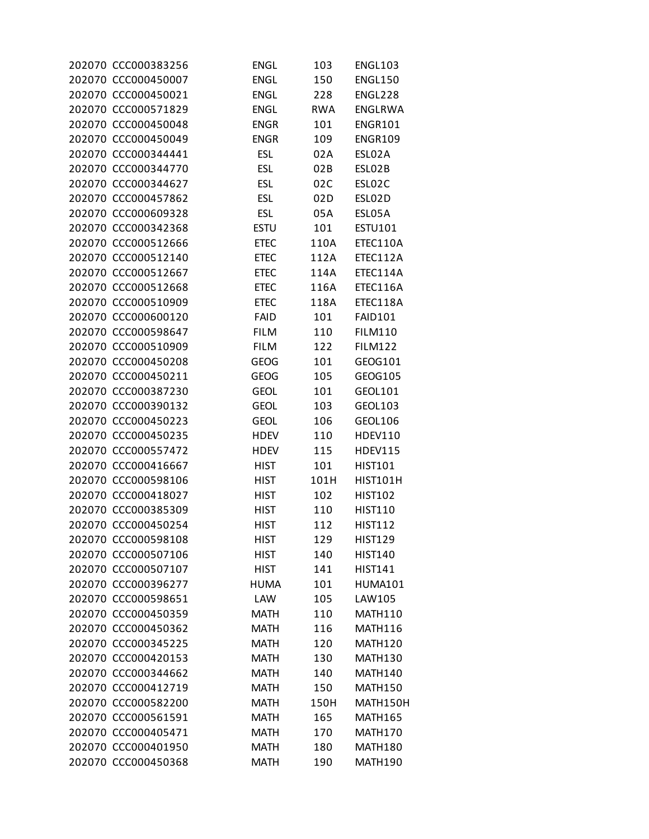| 202070 CCC000383256 | <b>ENGL</b> | 103        | <b>ENGL103</b>      |
|---------------------|-------------|------------|---------------------|
| 202070 CCC000450007 | <b>ENGL</b> | 150        | <b>ENGL150</b>      |
| 202070 CCC000450021 | <b>ENGL</b> | 228        | ENGL228             |
| 202070 CCC000571829 | <b>ENGL</b> | <b>RWA</b> | ENGLRWA             |
| 202070 CCC000450048 | <b>ENGR</b> | 101        | <b>ENGR101</b>      |
| 202070 CCC000450049 | <b>ENGR</b> | 109        | <b>ENGR109</b>      |
| 202070 CCC000344441 | <b>ESL</b>  | 02A        | ESL02A              |
| 202070 CCC000344770 | <b>ESL</b>  | 02B        | ESLO2B              |
| 202070 CCC000344627 | <b>ESL</b>  | 02C        | ESLO <sub>2</sub> C |
| 202070 CCC000457862 | <b>ESL</b>  | 02D        | ESL02D              |
| 202070 CCC000609328 | <b>ESL</b>  | 05A        | ESL05A              |
| 202070 CCC000342368 | <b>ESTU</b> | 101        | ESTU101             |
| 202070 CCC000512666 | <b>ETEC</b> | 110A       | ETEC110A            |
| 202070 CCC000512140 | <b>ETEC</b> | 112A       | ETEC112A            |
| 202070 CCC000512667 | <b>ETEC</b> | 114A       | ETEC114A            |
| 202070 CCC000512668 | <b>ETEC</b> | 116A       | ETEC116A            |
| 202070 CCC000510909 | <b>ETEC</b> | 118A       | ETEC118A            |
| 202070 CCC000600120 | <b>FAID</b> | 101        | <b>FAID101</b>      |
| 202070 CCC000598647 | <b>FILM</b> | 110        | <b>FILM110</b>      |
| 202070 CCC000510909 | <b>FILM</b> | 122        | <b>FILM122</b>      |
| 202070 CCC000450208 | GEOG        | 101        | GEOG101             |
| 202070 CCC000450211 | <b>GEOG</b> | 105        | GEOG105             |
| 202070 CCC000387230 | <b>GEOL</b> | 101        | GEOL101             |
|                     |             |            |                     |
| 202070 CCC000390132 | <b>GEOL</b> | 103        | GEOL103             |
| 202070 CCC000450223 | <b>GEOL</b> | 106        | GEOL106             |
| 202070 CCC000450235 | <b>HDEV</b> | 110        | <b>HDEV110</b>      |
| 202070 CCC000557472 | HDEV        | 115        | <b>HDEV115</b>      |
| 202070 CCC000416667 | <b>HIST</b> | 101        | <b>HIST101</b>      |
| 202070 CCC000598106 | <b>HIST</b> | 101H       | <b>HIST101H</b>     |
| 202070 CCC000418027 | <b>HIST</b> | 102        | <b>HIST102</b>      |
| 202070 CCC000385309 | <b>HIST</b> | 110        | <b>HIST110</b>      |
| 202070 CCC000450254 | <b>HIST</b> | 112        | <b>HIST112</b>      |
| 202070 CCC000598108 | <b>HIST</b> | 129        | <b>HIST129</b>      |
| 202070 CCC000507106 | <b>HIST</b> | 140        | <b>HIST140</b>      |
| 202070 CCC000507107 | <b>HIST</b> | 141        | <b>HIST141</b>      |
| 202070 CCC000396277 | <b>HUMA</b> | 101        | <b>HUMA101</b>      |
| 202070 CCC000598651 | LAW         | 105        | LAW105              |
| 202070 CCC000450359 | <b>MATH</b> | 110        | <b>MATH110</b>      |
| 202070 CCC000450362 | <b>MATH</b> | 116        | MATH116             |
| 202070 CCC000345225 | <b>MATH</b> | 120        | MATH120             |
| 202070 CCC000420153 | <b>MATH</b> | 130        | <b>MATH130</b>      |
| 202070 CCC000344662 | <b>MATH</b> | 140        | <b>MATH140</b>      |
| 202070 CCC000412719 | <b>MATH</b> | 150        | <b>MATH150</b>      |
| 202070 CCC000582200 | <b>MATH</b> | 150H       | MATH150H            |
| 202070 CCC000561591 | <b>MATH</b> | 165        | <b>MATH165</b>      |
| 202070 CCC000405471 | <b>MATH</b> | 170        | MATH170             |
| 202070 CCC000401950 | <b>MATH</b> | 180        | <b>MATH180</b>      |
| 202070 CCC000450368 | <b>MATH</b> | 190        | <b>MATH190</b>      |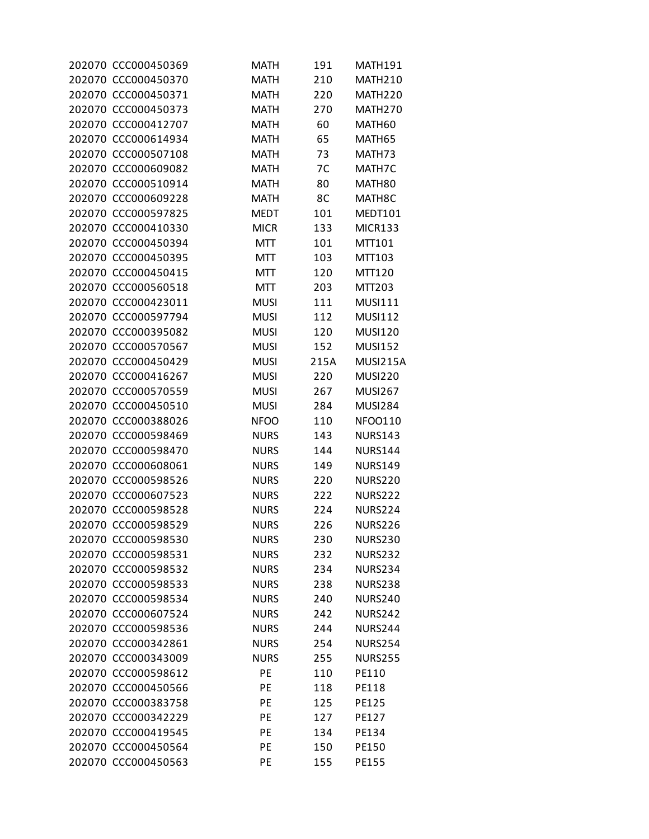| 202070 CCC000450369 | <b>MATH</b>       | 191  | <b>MATH191</b>     |
|---------------------|-------------------|------|--------------------|
| 202070 CCC000450370 | <b>MATH</b>       | 210  | <b>MATH210</b>     |
| 202070 CCC000450371 | <b>MATH</b>       | 220  | MATH220            |
| 202070 CCC000450373 | <b>MATH</b>       | 270  | MATH270            |
| 202070 CCC000412707 | <b>MATH</b>       | 60   | MATH60             |
| 202070 CCC000614934 | <b>MATH</b>       | 65   | MATH65             |
| 202070 CCC000507108 | <b>MATH</b>       | 73   | MATH73             |
| 202070 CCC000609082 | <b>MATH</b>       | 7C   | MATH7C             |
| 202070 CCC000510914 | <b>MATH</b>       | 80   | MATH <sub>80</sub> |
| 202070 CCC000609228 | <b>MATH</b>       | 8C   | MATH8C             |
| 202070 CCC000597825 | <b>MEDT</b>       | 101  | MEDT101            |
| 202070 CCC000410330 | <b>MICR</b>       | 133  | <b>MICR133</b>     |
| 202070 CCC000450394 | MTT               | 101  | MTT101             |
| 202070 CCC000450395 | MTT               | 103  | MTT103             |
| 202070 CCC000450415 | <b>MTT</b>        | 120  | MTT120             |
| 202070 CCC000560518 | MTT               | 203  | MTT203             |
| 202070 CCC000423011 | <b>MUSI</b>       | 111  | <b>MUSI111</b>     |
| 202070 CCC000597794 | <b>MUSI</b>       | 112  | <b>MUSI112</b>     |
| 202070 CCC000395082 | <b>MUSI</b>       | 120  | <b>MUSI120</b>     |
| 202070 CCC000570567 | <b>MUSI</b>       | 152  | <b>MUSI152</b>     |
| 202070 CCC000450429 | <b>MUSI</b>       | 215A | MUSI215A           |
| 202070 CCC000416267 | <b>MUSI</b>       | 220  | <b>MUSI220</b>     |
| 202070 CCC000570559 | <b>MUSI</b>       | 267  | <b>MUSI267</b>     |
| 202070 CCC000450510 | <b>MUSI</b>       | 284  | <b>MUSI284</b>     |
| 202070 CCC000388026 | <b>NFOO</b>       | 110  | NFO0110            |
| 202070 CCC000598469 | <b>NURS</b>       | 143  | <b>NURS143</b>     |
| 202070 CCC000598470 | <b>NURS</b>       | 144  | <b>NURS144</b>     |
| 202070 CCC000608061 | <b>NURS</b>       | 149  | <b>NURS149</b>     |
| 202070 CCC000598526 | <b>NURS</b>       | 220  | <b>NURS220</b>     |
| 202070 CCC000607523 | <b>NURS</b>       | 222  | <b>NURS222</b>     |
| 202070 CCC000598528 | <b>NURS</b>       | 224  | <b>NURS224</b>     |
| 202070 CCC000598529 | <b>NURS</b>       | 226  | <b>NURS226</b>     |
| 202070 CCC000598530 | <b>NURS</b>       | 230  | NURS230            |
| 202070 CCC000598531 | <b>NURS</b>       | 232  | <b>NURS232</b>     |
| 202070 CCC000598532 | <b>NURS</b>       | 234  | <b>NURS234</b>     |
| 202070 CCC000598533 | <b>NURS</b>       | 238  | <b>NURS238</b>     |
| 202070 CCC000598534 | <b>NURS</b>       | 240  | <b>NURS240</b>     |
| 202070 CCC000607524 | <b>NURS</b>       | 242  | <b>NURS242</b>     |
| 202070 CCC000598536 | <b>NURS</b>       | 244  | <b>NURS244</b>     |
| 202070 CCC000342861 | <b>NURS</b>       | 254  | <b>NURS254</b>     |
| 202070 CCC000343009 |                   |      |                    |
|                     | <b>NURS</b><br>PE | 255  | <b>NURS255</b>     |
| 202070 CCC000598612 |                   | 110  | PE110              |
| 202070 CCC000450566 | PE                | 118  | PE118              |
| 202070 CCC000383758 | PE                | 125  | PE125              |
| 202070 CCC000342229 | PE                | 127  | PE127              |
| 202070 CCC000419545 | PE                | 134  | PE134              |
| 202070 CCC000450564 | PE                | 150  | PE150              |
| 202070 CCC000450563 | PE                | 155  | PE155              |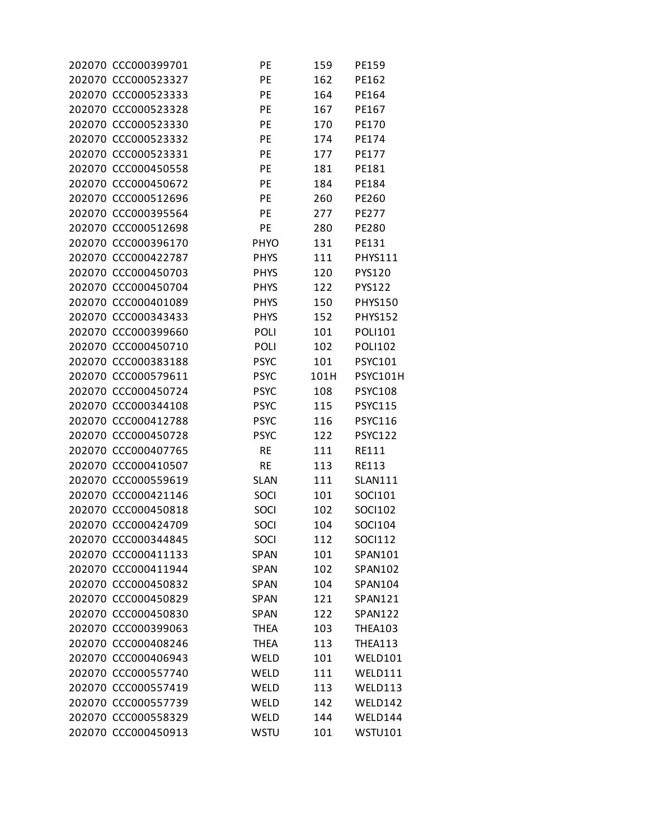| 202070 CCC000399701 | PE          | 159  | PE159           |
|---------------------|-------------|------|-----------------|
| 202070 CCC000523327 | PE          | 162  | PE162           |
| 202070 CCC000523333 | PE          | 164  | PE164           |
| 202070 CCC000523328 | PE          | 167  | PE167           |
| 202070 CCC000523330 | PE          | 170  | PE170           |
| 202070 CCC000523332 | PE          | 174  | PE174           |
| 202070 CCC000523331 | PE          | 177  | PE177           |
| 202070 CCC000450558 | PE          | 181  | PE181           |
| 202070 CCC000450672 | PE          | 184  | PE184           |
| 202070 CCC000512696 | PE          | 260  | PE260           |
| 202070 CCC000395564 | PE          | 277  | PE277           |
| 202070 CCC000512698 | PE          | 280  | PE280           |
| 202070 CCC000396170 | <b>PHYO</b> | 131  | PE131           |
| 202070 CCC000422787 | <b>PHYS</b> | 111  | <b>PHYS111</b>  |
| 202070 CCC000450703 | <b>PHYS</b> | 120  | PYS120          |
| 202070 CCC000450704 | <b>PHYS</b> | 122  | PYS122          |
| 202070 CCC000401089 | <b>PHYS</b> | 150  | <b>PHYS150</b>  |
| 202070 CCC000343433 | <b>PHYS</b> | 152  | <b>PHYS152</b>  |
| 202070 CCC000399660 | POLI        | 101  | <b>POLI101</b>  |
| 202070 CCC000450710 | POLI        | 102  | <b>POLI102</b>  |
| 202070 CCC000383188 | <b>PSYC</b> | 101  | <b>PSYC101</b>  |
| 202070 CCC000579611 | <b>PSYC</b> | 101H | <b>PSYC101H</b> |
| 202070 CCC000450724 | <b>PSYC</b> | 108  | <b>PSYC108</b>  |
| 202070 CCC000344108 | <b>PSYC</b> | 115  | <b>PSYC115</b>  |
| 202070 CCC000412788 | <b>PSYC</b> | 116  | <b>PSYC116</b>  |
| 202070 CCC000450728 | <b>PSYC</b> | 122  | <b>PSYC122</b>  |
| 202070 CCC000407765 | <b>RE</b>   | 111  | RE111           |
| 202070 CCC000410507 | <b>RE</b>   | 113  | RE113           |
| 202070 CCC000559619 | <b>SLAN</b> | 111  | <b>SLAN111</b>  |
| 202070 CCC000421146 | SOCI        | 101  | SOCI101         |
| 202070 CCC000450818 | SOCI        | 102  | SOCI102         |
| 202070 CCC000424709 | SOCI        | 104  | <b>SOCI104</b>  |
| 202070 CCC000344845 | SOCI        | 112  | <b>SOCI112</b>  |
| 202070 CCC000411133 | <b>SPAN</b> | 101  | SPAN101         |
| 202070 CCC000411944 | <b>SPAN</b> | 102  | SPAN102         |
| 202070 CCC000450832 | <b>SPAN</b> | 104  | SPAN104         |
| 202070 CCC000450829 | <b>SPAN</b> | 121  | <b>SPAN121</b>  |
| 202070 CCC000450830 | <b>SPAN</b> | 122  | <b>SPAN122</b>  |
| 202070 CCC000399063 | <b>THEA</b> | 103  | <b>THEA103</b>  |
| 202070 CCC000408246 | <b>THEA</b> | 113  | <b>THEA113</b>  |
| 202070 CCC000406943 | WELD        | 101  | WELD101         |
| 202070 CCC000557740 | WELD        | 111  | WELD111         |
| 202070 CCC000557419 | WELD        | 113  | WELD113         |
| 202070 CCC000557739 | WELD        | 142  | WELD142         |
| 202070 CCC000558329 | WELD        | 144  | WELD144         |
| 202070 CCC000450913 | <b>WSTU</b> | 101  | <b>WSTU101</b>  |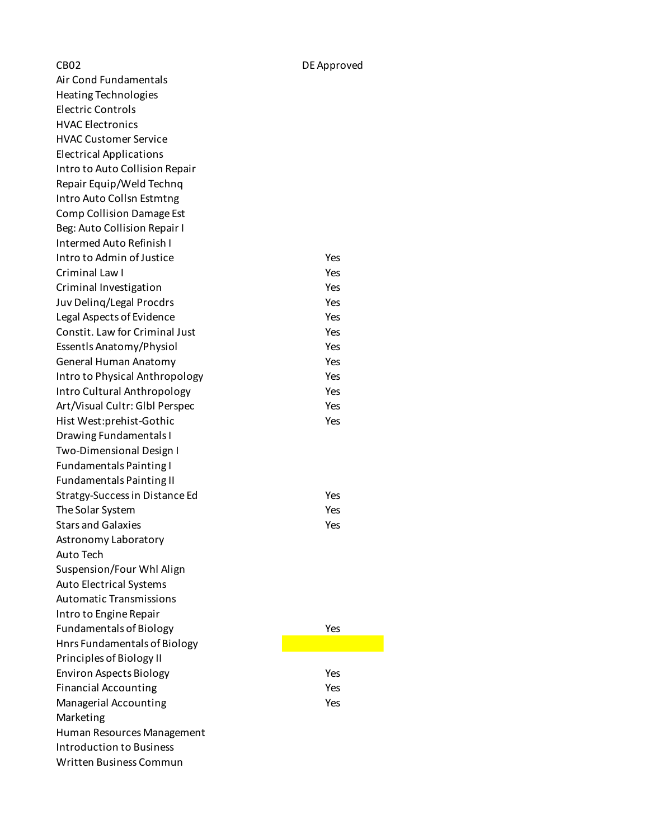CB02 DE Approved Air Cond Fundamentals Heating Technologies Electric Controls HVAC Electronics HVAC Customer Service Electrical Applications Intro to Auto Collision Repair Repair Equip/Weld Technq Intro Auto Collsn Estmtng Comp Collision Damage Est Beg: Auto Collision Repair I Intermed Auto Refinish I Intro to Admin of Justice Yes Criminal Law I Yes Criminal Investigation The Communication Criminal Investigation Juv Delinq/Legal Procdrs The Test of the Yes Legal Aspects of Evidence The Yes Constit. Law for Criminal Just **Yes** Essentls Anatomy/Physiol Yes General Human Anatomy Yes Intro to Physical Anthropology **Yes** Intro Cultural Anthropology **Yes** Art/Visual Cultr: GIbl Perspec Yes Hist West:prehist-Gothic Yes Drawing Fundamentals I Two-Dimensional Design I Fundamentals Painting I Fundamentals Painting II Stratgy-Success in Distance Ed Yes The Solar System Yes Stars and Galaxies The Yes Astronomy Laboratory Auto Tech Suspension/Four Whl Align Auto Electrical Systems Automatic Transmissions Intro to Engine Repair Fundamentals of Biology **Yes** Hnrs Fundamentals of Biology Principles of Biology II Environ Aspects Biology **Yes** Financial Accounting The Yes Managerial Accounting The Control of the Yes Marketing Human Resources Management Introduction to Business Written Business Commun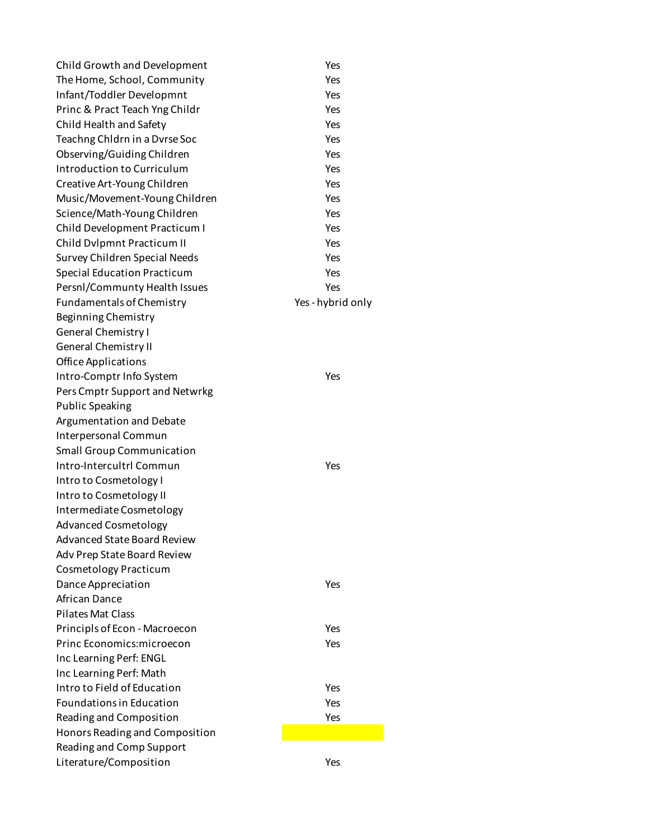| Child Growth and Development       | Yes             |
|------------------------------------|-----------------|
| The Home, School, Community        | Yes             |
| Infant/Toddler Developmnt          | Yes             |
| Princ & Pract Teach Yng Childr     | Yes             |
| Child Health and Safety            | Yes             |
| Teachng Chldrn in a Dvrse Soc      | Yes             |
| Observing/Guiding Children         | Yes             |
| Introduction to Curriculum         | Yes             |
| Creative Art-Young Children        | Yes             |
| Music/Movement-Young Children      | Yes             |
| Science/Math-Young Children        | Yes             |
| Child Development Practicum I      | Yes             |
| Child Dvlpmnt Practicum II         | Yes             |
| Survey Children Special Needs      | Yes             |
| <b>Special Education Practicum</b> | Yes             |
| Persnl/Communty Health Issues      | Yes             |
| <b>Fundamentals of Chemistry</b>   | Yes-hybrid only |
| Beginning Chemistry                |                 |
| <b>General Chemistry I</b>         |                 |
| <b>General Chemistry II</b>        |                 |
| <b>Office Applications</b>         |                 |
| Intro-Comptr Info System           | Yes             |
|                                    |                 |
| Pers Cmptr Support and Netwrkg     |                 |
| <b>Public Speaking</b>             |                 |
| Argumentation and Debate           |                 |
| Interpersonal Commun               |                 |
| <b>Small Group Communication</b>   |                 |
| Intro-Intercultrl Commun           | Yes             |
| Intro to Cosmetology I             |                 |
| Intro to Cosmetology II            |                 |
| Intermediate Cosmetology           |                 |
| <b>Advanced Cosmetology</b>        |                 |
| <b>Advanced State Board Review</b> |                 |
| Adv Prep State Board Review        |                 |
| <b>Cosmetology Practicum</b>       |                 |
| Dance Appreciation                 | Yes             |
| African Dance                      |                 |
| <b>Pilates Mat Class</b>           |                 |
| Principls of Econ - Macroecon      | Yes             |
| Princ Economics: microecon         | Yes             |
| Inc Learning Perf: ENGL            |                 |
| Inc Learning Perf: Math            |                 |
| Intro to Field of Education        | Yes             |
| <b>Foundations in Education</b>    | Yes             |
| Reading and Composition            | Yes             |
| Honors Reading and Composition     |                 |
| Reading and Comp Support           |                 |
| Literature/Composition             | Yes             |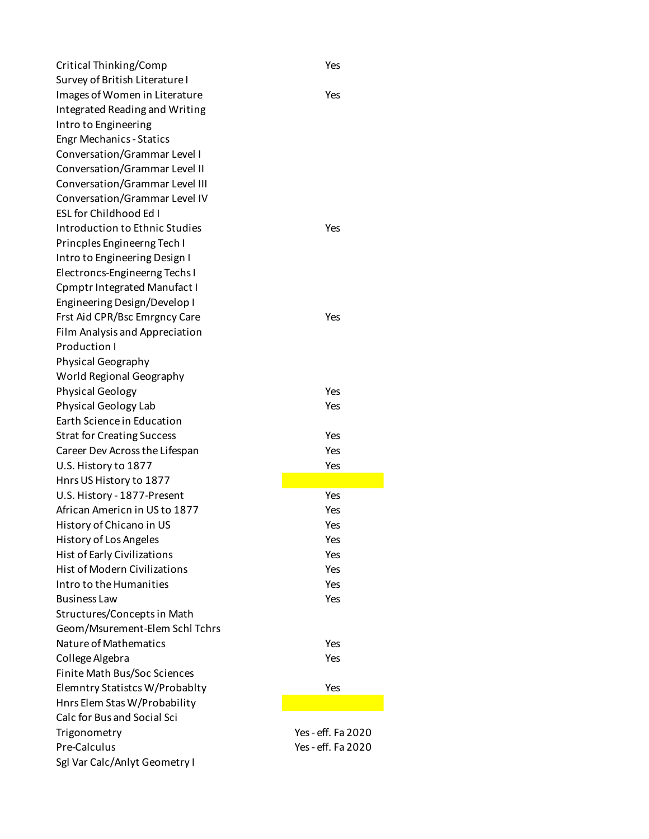Critical Thinking/Comp Yes Survey of British Literature I Images of Women in Literature Theorem Controller Mes Integrated Reading and Writing Intro to Engineering Engr Mechanics - Statics Conversation/Grammar Level I Conversation/Grammar Level II Conversation/Grammar Level III Conversation/Grammar Level IV ESL for Childhood Ed I Introduction to Ethnic Studies The Manuscript Ves Princples Engineerng Tech I Intro to Engineering Design I Electroncs-Engineerng Techs I Cpmptr Integrated Manufact I Engineering Design/Develop I Frst Aid CPR/Bsc Emrgncy Care The Yes Film Analysis and Appreciation Production I Physical Geography World Regional Geography Physical Geology Nessential Contract Contract Contract Contract Contract Contract Contract Contract Contract Contract Contract Contract Contract Contract Contract Contract Contract Contract Contract Contract Contract Contr Physical Geology Lab Yes Earth Science in Education Strat for Creating Success The Contract of the Yes Career Dev Across the Lifespan Ves U.S. History to 1877 Yes Hnrs US History to 1877 U.S. History - 1877-Present Ves African Americn in US to 1877 Yes History of Chicano in US Yes History of Los Angeles Yes Hist of Early Civilizations Yes Hist of Modern Civilizations Yes Intro to the Humanities The Control of the Yes Business Law Yes Structures/Concepts in Math Geom/Msurement-Elem Schl Tchrs Nature of Mathematics Yes College Algebra Yes Finite Math Bus/Soc Sciences Elemntry Statistcs W/Probablty Yes Hnrs Elem Stas W/Probability Calc for Bus and Social Sci Trigonometry Yes - eff. Fa 2020 Pre-Calculus Yes - eff. Fa 2020 Sgl Var Calc/Anlyt Geometry I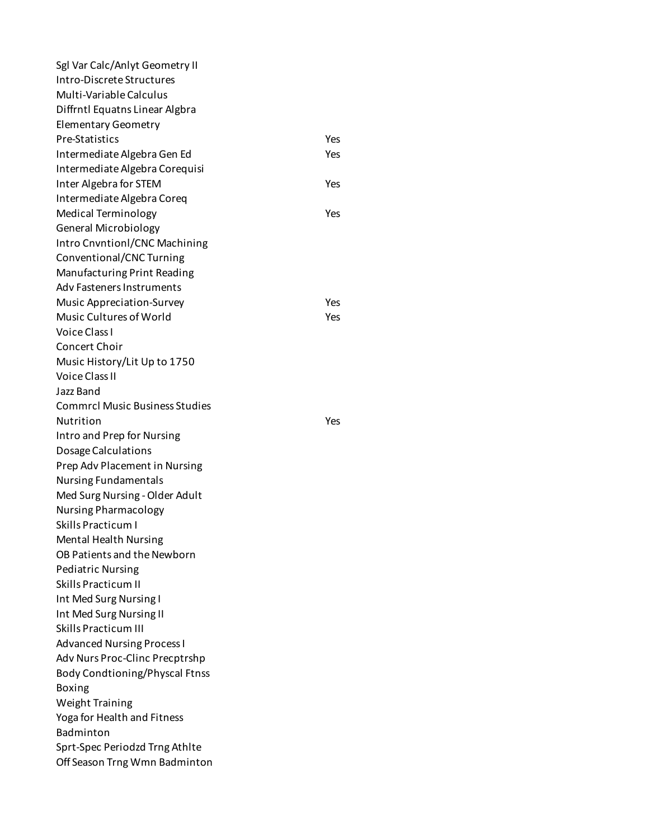Sgl Var Calc/Anlyt Geometry II Intro-Discrete Structures Multi-Variable Calculus Diffrntl Equatns Linear Algbra Elementary Geometry Pre-Statistics Yes Intermediate Algebra Gen Ed Yes Intermediate Algebra Corequisi Inter Algebra for STEM Yes Intermediate Algebra Coreq Medical Terminology **Yes** General Microbiology Intro Cnvntionl/CNC Machining Conventional/CNC Turning Manufacturing Print Reading Adv Fasteners Instruments Music Appreciation-Survey Music Appreciation-Survey Music Cultures of World **Yes** Voice Class I Concert Choir Music History/Lit Up to 1750 Voice Class II Jazz Band Commrcl Music Business Studies Nutrition Yes Intro and Prep for Nursing Dosage Calculations Prep Adv Placement in Nursing Nursing Fundamentals Med Surg Nursing - Older Adult Nursing Pharmacology Skills Practicum I Mental Health Nursing OB Patients and the Newborn Pediatric Nursing Skills Practicum II Int Med Surg Nursing I Int Med Surg Nursing II Skills Practicum III Advanced Nursing Process I Adv Nurs Proc-Clinc Precptrshp Body Condtioning/Physcal Ftnss Boxing Weight Training Yoga for Health and Fitness Badminton Sprt-Spec Periodzd Trng Athlte Off Season Trng Wmn Badminton